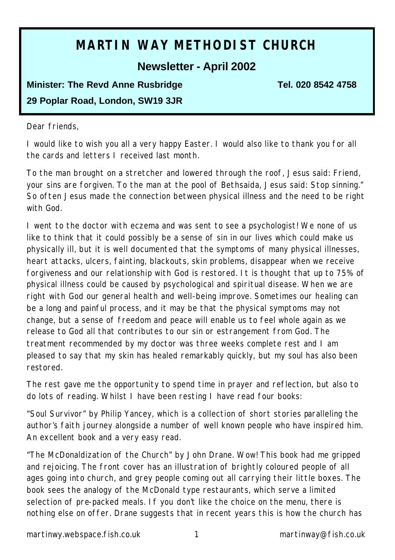# **MARTIN WAY METHODIST CHURCH**

### **Newsletter - April 2002**

# **Minister: The Revd Anne Rusbridge Tel. 020 8542 4758 29 Poplar Road, London, SW19 3JR**

#### Dear friends,

I would like to wish you all a very happy Easter. I would also like to thank you for all the cards and letters I received last month.

To the man brought on a stretcher and lowered through the roof, Jesus said: Friend, your sins are forgiven. To the man at the pool of Bethsaida, Jesus said: Stop sinning." So often Jesus made the connection between physical illness and the need to be right with God.

I went to the doctor with eczema and was sent to see a psychologist! We none of us like to think that it could possibly be a sense of sin in our lives which could make us physically ill, but it is well documented that the symptoms of many physical illnesses, heart attacks, ulcers, fainting, blackouts, skin problems, disappear when we receive forgiveness and our relationship with God is restored. It is thought that up to 75% of physical illness could be caused by psychological and spiritual disease. When we are right with God our general health and well-being improve. Sometimes our healing can be a long and painful process, and it may be that the physical symptoms may not change, but a sense of freedom and peace will enable us to feel whole again as we release to God all that contributes to our sin or estrangement from God. The treatment recommended by my doctor was three weeks complete rest and I am pleased to say that my skin has healed remarkably quickly, but my soul has also been restored.

The rest gave me the opportunity to spend time in prayer and reflection, but also to do lots of reading. Whilst I have been resting I have read four books:

"Soul Survivor" by Philip Yancey, which is a collection of short stories paralleling the author's faith journey alongside a number of well known people who have inspired him. An excellent book and a very easy read.

"The McDonaldization of the Church" by John Drane. Wow! This book had me gripped and rejoicing. The front cover has an illustration of brightly coloured people of all ages going into church, and grey people coming out all carrying their little boxes. The book sees the analogy of the McDonald type restaurants, which serve a limited selection of pre-packed meals. If you don't like the choice on the menu, there is nothing else on offer. Drane suggests that in recent years this is how the church has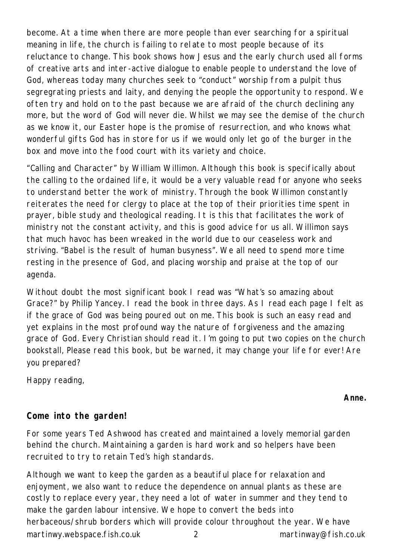become. At a time when there are more people than ever searching for a spiritual meaning in life, the church is failing to rel ate to most people because of its reluctance to change. This book shows how Jesus and the early church used all forms of creative arts and inter-active dialogue to enable people to understand the love of God, whereas today many churches seek to "conduct" worship from a pulpit thus segregrating priests and laity, and denying the people the opportunity to respond. We often try and hold on to the past because we are afraid of the church declining any more, but the word of God will never die. Whilst we may see the demise of the church as we know it, our Easter hope is the promise of resurrection, and who knows what wonderful gifts God has in store for us if we would only let go of the burger in the box and move into the food court with its variety and choice.

"Calling and Character" by William Willimon. Although this book is specifically about the calling to the ordained life, it would be a very valuable read for anyone who seeks to understand better the work of ministry. Through the book Willimon constantly reiterates the need for clergy to place at the top of their priorities time spent in prayer, bible study and theological reading. It is this that facilitates the work of ministry not the constant activity, and this is good advice for us all. Willimon says that much havoc has been wreaked in the world due to our ceaseless work and striving. "Babel is the result of human busyness". We all need to spend more time resting in the presence of God, and placing worship and praise at the top of our agenda.

Without doubt the most significant book I read was "What's so amazing about Grace?" by Philip Yancey. I read the book in three days. As I read each page I felt as if the grace of God was being poured out on me. This book is such an easy read and yet explains in the most profound way the nature of forgiveness and the amazing grace of God. Every Christian should read it. I'm going to put two copies on the church bookstall, Please read this book, but be warned, it may change your life for ever! Are you prepared?

Happy reading,

*Anne.*

### **Come into the garden!**

For some years Ted Ashwood has created and maintained a lovely memorial garden behind the church. Maintaining a garden is hard work and so helpers have been recruited to try to retain Ted's high standards.

martinwy.webspace.fish.co.uk 2 martinway@fish.co.uk Although we want to keep the garden as a beautiful place for relaxation and enjoyment, we also want to reduce the dependence on annual plants as these are costly to replace every year, they need a lot of water in summer and they tend to make the garden labour intensive. We hope to convert the beds into herbaceous/shrub borders which will provide colour throughout the year. We have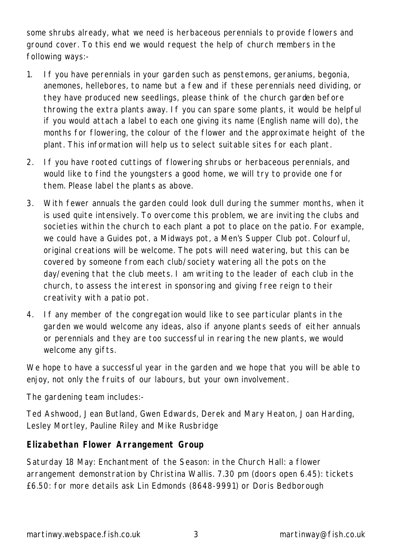some shrubs already, what we need is herbaceous perennials to provide flowers and ground cover. To this end we would request the help of church members in the following ways:-

- 1. If you have perennials in your garden such as penstemons, geraniums, begonia, anemones, hellebores, to name but a few and if these perennials need dividing, or they have produced new seedlings, please think of the church garden before throwing the extra plants away. If you can spare some plants, it would be helpful if you would attach a label to each one giving its name (English name will do), the months for flowering, the colour of the flower and the approximate height of the plant. This information will help us to select suitable sites for each plant.
- 2. If you have rooted cuttings of flowering shrubs or herbaceous perennials, and would like to find the youngsters a good home, we will try to provide one for them. Please label the plants as above.
- 3. With fewer annuals the garden could look dull during the summer months, when it is used quite intensively. To overcome this problem, we are inviting the clubs and societies within the church to each plant a pot to place on the patio. For example, we could have a Guides pot, a Midways pot, a Men's Supper Club pot. Colourful, original creations will be welcome. The pots will need watering, but this can be covered by someone from each club/society watering all the pots on the day/evening that the club meets. I am writing to the leader of each club in the church, to assess the interest in sponsoring and giving free reign to their creativity with a patio pot.
- 4. If any member of the congregation would like to see particular plants in the garden we would welcome any ideas, also if anyone plants seeds of either annuals or perennials and they are too successful in rearing the new plants, we would welcome any gifts.

We hope to have a successful year in the garden and we hope that you will be able to enjoy, not only the fruits of our labours, but your own involvement.

The gardening team includes:-

Ted Ashwood, Jean Butland, Gwen Edwards, Derek and Mary Heaton, Joan Harding, Lesley Mortley, Pauline Riley and Mike Rusbridge

### **Elizabethan Flower Arrangement Group**

Saturday 18 May: Enchantment of the Season: in the Church Hall: a flower arrangement demonstration by Christina Wallis. 7.30 pm (doors open 6.45): tickets £6.50: for more details ask Lin Edmonds (8648-9991) or Doris Bedborough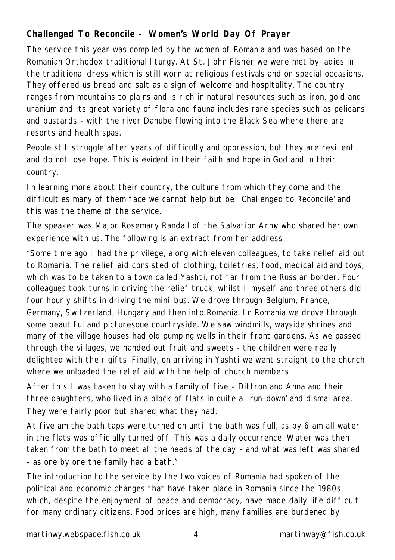### **Challenged To Reconcile - Women's World Day Of Prayer**

The service this year was compiled by the women of Romania and was based on the Romanian Orthodox traditional liturgy. At St. John Fisher we were met by ladies in the traditional dress which is still worn at religious festivals and on special occasions. They offered us bread and salt as a sign of welcome and hospitality. The country ranges from mountains to plains and is rich in natural resources such as iron, gold and uranium and its great variety of flora and fauna includes rare species such as pelicans and bustards - with the river Danube flowing into the Black Sea where there are resorts and health spas.

People still struggle after years of difficulty and oppression, but they are resilient and do not lose hope. This is evident in their faith and hope in God and in their country.

In learning more about their country, the culture from which they come and the difficulties many of them face we cannot help but be Challenged to Reconcile' and this was the theme of the service.

The speaker was Major Rosemary Randall of the Salvation Army who shared her own experience with us. The following is an extract from her address -

"Some time ago I had the privilege, along with eleven colleagues, to take relief aid out to Romania. The relief aid consisted of clothing, toiletries, food, medical aid and toys, which was to be taken to a town called Yashti, not far from the Russian border. Four colleagues took turns in driving the relief truck, whilst I myself and three others did four hourly shifts in driving the mini-bus. We drove through Belgium, France, Germany, Switzerland, Hungary and then into Romania. In Romania we drove through some beautiful and picturesque countryside. We saw windmills, wayside shrines and many of the village houses had old pumping wells in their front gardens. As we passed through the villages, we handed out fruit and sweets - the children were really delighted with their gifts. Finally, on arriving in Yashti we went straight to the church where we unloaded the relief aid with the help of church members.

After this I was taken to stay with a family of five - Dittron and Anna and their three daughters, who lived in a block of flats in quite a run-down' and dismal area. They were fairly poor but shared what they had.

At five am the bath taps were turned on until the bath was full, as by 6 am all water in the flats was officially turned off. This was a daily occurrence. Water was then taken from the bath to meet all the needs of the day - and what was left was shared - as one by one the family had a bath."

The introduction to the service by the two voices of Romania had spoken of the political and economic changes that have taken place in Romania since the 1980s which, despite the enjoyment of peace and democracy, have made daily life difficult for many ordinary citizens. Food prices are high, many families are burdened by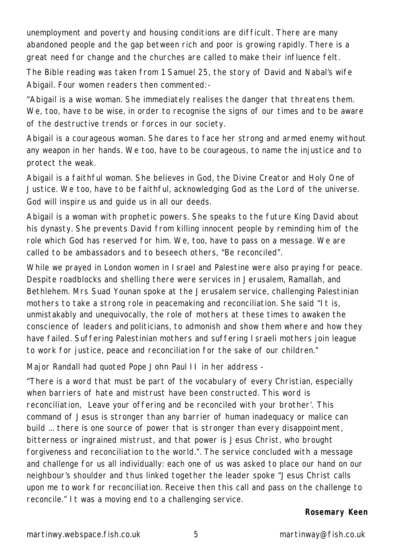unemployment and poverty and housing conditions are difficult. There are many abandoned people and the gap between rich and poor is growing rapidly. There is a great need for change and the churches are called to make their influence felt.

The Bible reading was taken from 1 Samuel 25, the story of David and Nabal's wife Abigail. Four women readers then commented:-

"Abigail is a wise woman. She immediately realises the danger that threatens them. We, too, have to be wise, in order to recognise the signs of our times and to be aware of the destructive trends or forces in our society.

Abigail is a courageous woman. She dares to face her strong and armed enemy without any weapon in her hands. We too, have to be courageous, to name the injustice and to protect the weak.

Abigail is a faithful woman. She believes in God, the Divine Creator and Holy One of Justice. We too, have to be faithful, acknowledging God as the Lord of the universe. God will inspire us and guide us in all our deeds.

Abigail is a woman with prophetic powers. She speaks to the future King David about his dynasty. She prevents David from killing innocent people by reminding him of the role which God has reserved for him. We, too, have to pass on a message. We are called to be ambassadors and to beseech others, "Be reconciled".

While we prayed in London women in Israel and Palestine were also praying for peace. Despite roadblocks and shelling there were services in Jerusalem, Ramallah, and Bethlehem. Mrs Suad Younan spoke at the Jerusalem service, challenging Palestinian mothers to take a strong role in peacemaking and reconciliation. She said "It is, unmistakably and unequivocally, the role of mothers at these times to awaken the conscience of leaders and politicians, to admonish and show them where and how they have failed. Suffering Palestinian mothers and suffering Israeli mothers join league to work for justice, peace and reconciliation for the sake of our children."

Major Randall had quoted Pope John Paul II in her address -

"There is a word that must be part of the vocabulary of every Christian, especially when barriers of hate and mistrust have been constructed. This word is reconciliation, Leave your offering and be reconciled with your brother'. This command of Jesus is stronger than any barrier of human inadequacy or malice can build ... there is one source of power that is stronger than every disappointment, bitterness or ingrained mistrust, and that power is Jesus Christ, who brought forgiveness and reconciliation to the world.". The service concluded with a message and challenge for us all individually: each one of us was asked to place our hand on our neighbour's shoulder and thus linked together the leader spoke "Jesus Christ calls upon me to work for reconciliation. Receive then this call and pass on the challenge to reconcile." It was a moving end to a challenging service.

#### *Rosemary Keen*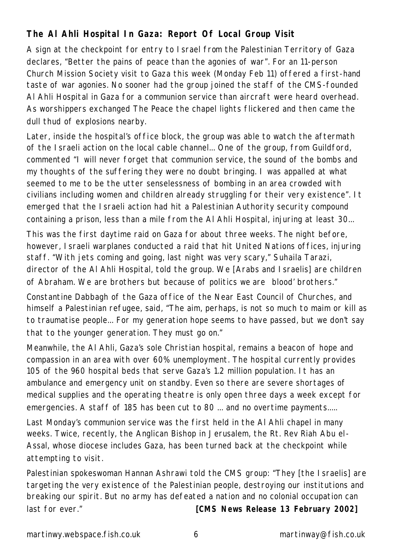### **The Al Ahli Hospital In Gaza: Report Of Local Group Visit**

A sign at the checkpoint for entry to Israel from the Palestinian Territory of Gaza declares, "Better the pains of peace than the agonies of war". For an 11-person Church Mission Society visit to Gaza this week (Monday Feb 11) offered a first-hand taste of war agonies. No sooner had the group joined the staff of the CMS-founded Al Ahli Hospital in Gaza for a communion service than aircraft were heard overhead. As worshippers exchanged The Peace the chapel lights flickered and then came the dull thud of explosions nearby.

Later, inside the hospital's office block, the group was able to watch the aftermath of the Israeli action on the local cable channel... One of the group, from Guildford, commented "I will never forget that communion service, the sound of the bombs and my thoughts of the suffering they were no doubt bringing. I was appalled at what seemed to me to be the utter senselessness of bombing in an area crowded with civilians including women and children already struggling for their very existence". It emerged that the Israeli action had hit a Palestinian Authority security compound containing a prison, less than a mile from the Al Ahli Hospital, injuring at least 30...

This was the first daytime raid on Gaza for about three weeks. The night before, however, Israeli warplanes conducted a raid that hit United Nations offices, injuring staff. "With jets coming and going, last night was very scary," Suhaila Tarazi, director of the Al Ahli Hospital, told the group. We [Arabs and Israelis] are children of Abraham. We are brothers but because of politics we are blood' brothers."

Constantine Dabbagh of the Gaza office of the Near East Council of Churches, and himself a Palestinian refugee, said, "The aim, perhaps, is not so much to maim or kill as to traumatise people... For my generation hope seems to have passed, but we don't say that to the younger generation. They must go on."

Meanwhile, the Al Ahli, Gaza's sole Christian hospital, remains a beacon of hope and compassion in an area with over 60% unemployment. The hospital currently provides 105 of the 960 hospital beds that serve Gaza's 1.2 million population. It has an ambulance and emergency unit on standby. Even so there are severe shortages of medical supplies and the operating theatre is only open three days a week except for emergencies. A staff of 185 has been cut to 80 ... and no overtime payments.....

Last Monday's communion service was the first held in the Al Ahli chapel in many weeks. Twice, recently, the Anglican Bishop in Jerusalem, the Rt. Rev Riah Abu el-Assal, whose diocese includes Gaza, has been turned back at the checkpoint while attempting to visit.

Palestinian spokeswoman Hannan Ashrawi told the CMS group: "They [the Israelis] are targeting the very existence of the Palestinian people, destroying our institutions and breaking our spirit. But no army has defeated a nation and no colonial occupation can last for ever." *[CMS News Release 13 February 2002]*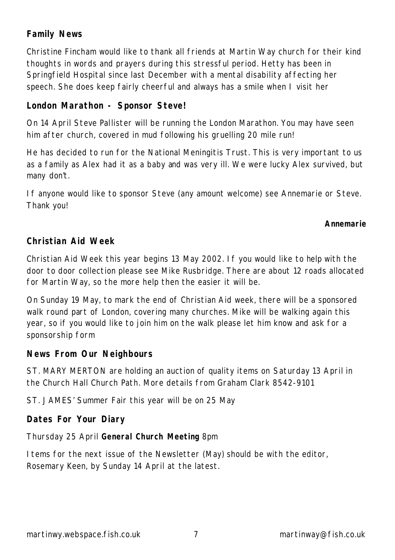### **Family News**

Christine Fincham would like to thank all friends at Martin Way church for their kind thoughts in words and prayers during this stressful period. Hetty has been in Springfield Hospital since last December with a mental disability affecting her speech. She does keep fairly cheerful and always has a smile when I visit her

### **London Marathon - Sponsor Steve!**

On 14 April Steve Pallister will be running the London Marathon. You may have seen him after church, covered in mud following his gruelling 20 mile run!

He has decided to run for the National Meningitis Trust. This is very important to us as a family as Alex had it as a baby and was very ill. We were lucky Alex survived, but many don't.

If anyone would like to sponsor Steve (any amount welcome) see Annemarie or Steve. Thank you!

#### *Annemarie*

#### **Christian Aid Week**

Christian Aid Week this year begins 13 May 2002. If you would like to help with the door to door collection please see Mike Rusbridge. There are about 12 roads allocated for Martin Way, so the more help then the easier it will be.

On Sunday 19 May, to mark the end of Christian Aid week, there will be a sponsored walk round part of London, covering many churches. Mike will be walking again this year, so if you would like to join him on the walk please let him know and ask for a sponsorship form

#### **News From Our Neighbours**

ST. MARY MERTON are holding an auction of quality items on Saturday 13 April in the Church Hall Church Path. More details from Graham Clark 8542-9101

ST. JAMES' Summer Fair this year will be on 25 May

### **Dates For Your Diary**

Thursday 25 April **General Church Meeting** 8pm

Items for the next issue of the Newsletter (May) should be with the editor, Rosemary Keen, by Sunday 14 April at the latest.